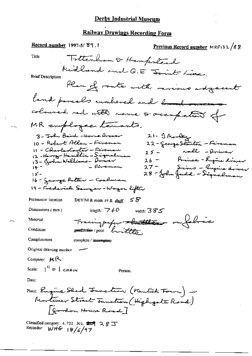### Derby Industrial Museum

# Railway Drawings Recording Form

 $\sigma \sim$ 

| <u>Record number</u> 1997-5/89.1                                                       | Previous Record number MRP132/88                              |  |
|----------------------------------------------------------------------------------------|---------------------------------------------------------------|--|
| Title                                                                                  | Tottenham & Hampstead                                         |  |
|                                                                                        | Midland and G.E Joint Line.                                   |  |
| <b>Brief Description</b>                                                               |                                                               |  |
|                                                                                        | Plan of route with movious adjacent                           |  |
|                                                                                        | land parcelo rumbered and band out                            |  |
|                                                                                        | coloused red with name & occupation of                        |  |
| MR employeer temants.                                                                  |                                                               |  |
| 3 - John Beird -Horse Aroser                                                           | 21- I Marley                                                  |  |
| 10 - Robert Allen - Fireman                                                            | 22 – George Stanlan – Feireman                                |  |
| 11 - CharlesCanter — Feireman                                                          | nall -driver<br>スゴー                                           |  |
|                                                                                        | Prince - Engine driver<br>26 ー                                |  |
|                                                                                        | 27 - John Judd - Grigine driver<br>28 - John Judd - Signalman |  |
| 15 -<br>16 - Jeange Polter — Coalman                                                   |                                                               |  |
| 19 - Frederich Sawyar - Wogon lifter                                                   |                                                               |  |
|                                                                                        |                                                               |  |
| Permanent location<br>DBYIM & room $49 \& \text{ shell}$ :                             | 58                                                            |  |
| Dimensions (mm)<br>length; $\overline{7}$ 60                                           | width: $385$                                                  |  |
| Material                                                                               | Fracing paper that the on falmic                              |  |
| Condition<br>south the poor handthe                                                    |                                                               |  |
| Completeness<br>complete / incomplete                                                  |                                                               |  |
| Original drawing number                                                                |                                                               |  |
| Company: MR                                                                            |                                                               |  |
| Scale: $\int_0^t = \int cH_{\text{H}}dr$                                               | Person:                                                       |  |
| Date:                                                                                  |                                                               |  |
| Place: Engine Shed Function (Kentish Four) -                                           |                                                               |  |
| Mortimer Street Innation (High gate Road)                                              |                                                               |  |
| Gordon House Road ]                                                                    |                                                               |  |
| Classified category: 4, 721, 301, $\mathbf{27}$ $\mathbf{28}$<br>Recorder: WHG 18/6/97 |                                                               |  |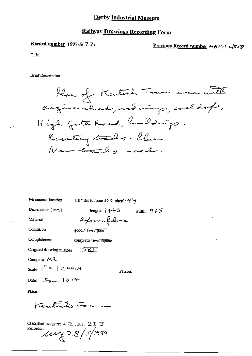#### **Railway Drawings Recording Form**

Record number 1997-5/77/

Previous Record number  $M R \rho_1$ 32/858

Title

**Brief Description** 



Permanent location

DBYIM & room 49 & shelf:  $9\,\forall$ 

Poperon follows

Dimensions (mm)

length:  $14-40$  width:  $965$ 

Material Condition

 $\mathbf{r}$ 

good / fair / poor

Completeness complete / incumplete

Original drawing number া≳তা

Company:  $MR$ 

Scale:  $\binom{n}{k}$  =  $\lfloor c \rfloor$   $\lfloor c \rfloor$   $\lfloor r \rfloor$   $\lceil r \rceil$ 

Person:

Date:  $324$ 

Place:

Kentuck Fou

Classified category: 4, 721, 301,  $28$   $\overline{5}$ Recorder  $\mu$  $\ell$  28/5/1999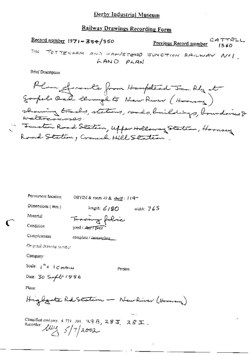#### Derby Industrial Museum

## Railway Drawings Recording Form

Record number  $1971 - 384/350$ **Previous Record number** (360 TOTTENHAM AND HAMPSTERIO JUNCTION RAILWAY NOT. Title 1 LAND PLAN

**Brief Description** 

| Permanent location                                     | OBYIM & room 49 & shelf: 114-                             |
|--------------------------------------------------------|-----------------------------------------------------------|
| Dimensions (mm)                                        | length: $6/80$ width: $765$                               |
| Material                                               | Tomaing folice                                            |
| Condition                                              | good / Lair / poor                                        |
| Completeness                                           | complete / incemplete_                                    |
| Original drawing number                                |                                                           |
| Company:                                               |                                                           |
| Scale: $\int_{0}^{H} z \cdot \int C H \cdot A \cdot M$ | Person:                                                   |
| Date: 30 Seef to 1986                                  |                                                           |
| Place:                                                 |                                                           |
|                                                        | Highgate Rd Station - New River (Homing                   |
| Recorder $\mu_{\mathcal{A}}$ $\frac{1}{2}/7$ 2002      | Classified category, 4, 721, 301, $29B$ , $28J$ , $28J$ . |
|                                                        |                                                           |